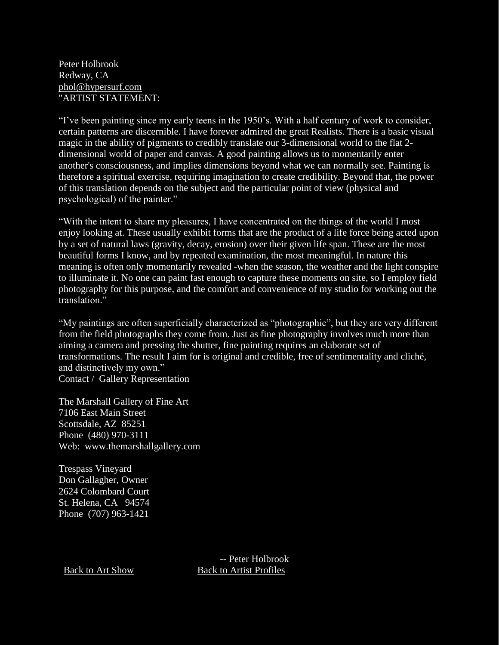Peter Holbrook Redway, CA [phol@hypersurf.com](mailto:phol@hypersurf.com) "ARTIST STATEMENT:

"I've been painting since my early teens in the 1950's. With a half century of work to consider, certain patterns are discernible. I have forever admired the great Realists. There is a basic visual magic in the ability of pigments to credibly translate our 3-dimensional world to the flat 2 dimensional world of paper and canvas. A good painting allows us to momentarily enter another's consciousness, and implies dimensions beyond what we can normally see. Painting is therefore a spiritual exercise, requiring imagination to create credibility. Beyond that, the power of this translation depends on the subject and the particular point of view (physical and psychological) of the painter."

"With the intent to share my pleasures, I have concentrated on the things of the world I most enjoy looking at. These usually exhibit forms that are the product of a life force being acted upon by a set of natural laws (gravity, decay, erosion) over their given life span. These are the most beautiful forms I know, and by repeated examination, the most meaningful. In nature this meaning is often only momentarily revealed -when the season, the weather and the light conspire to illuminate it. No one can paint fast enough to capture these moments on site, so I employ field photography for this purpose, and the comfort and convenience of my studio for working out the translation."

"My paintings are often superficially characterized as "photographic", but they are very different from the field photographs they come from. Just as fine photography involves much more than aiming a camera and pressing the shutter, fine painting requires an elaborate set of transformations. The result I aim for is original and credible, free of sentimentality and cliché, and distinctively my own." Contact / Gallery Representation

The Marshall Gallery of Fine Art 7106 East Main Street Scottsdale, AZ 85251 Phone (480) 970-3111 Web: www.themarshallgallery.com

Trespass Vineyard Don Gallagher, Owner 2624 Colombard Court St. Helena, CA 94574 Phone (707) 963-1421

 -- Peter Holbrook [Back to Art Show](http://www.dartmouth61artshow.org/) [Back to Artist Profiles](http://www.dartmouth.org/classes/61/Artist_Profiles/Artist%20Profiles.htm)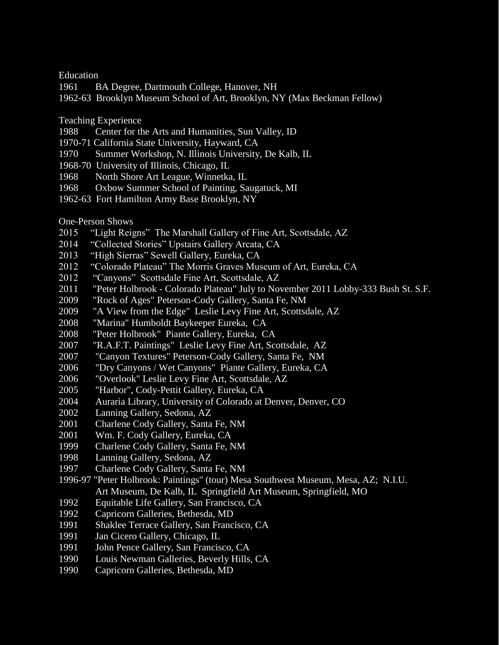Education

- 1961 BA Degree, Dartmouth College, Hanover, NH
- 1962-63 Brooklyn Museum School of Art, Brooklyn, NY (Max Beckman Fellow)
- Teaching Experience
- 1988 Center for the Arts and Humanities, Sun Valley, ID
- 1970-71 California State University, Hayward, CA
- 1970 Summer Workshop, N. Illinois University, De Kalb, IL
- 1968-70 University of Illinois, Chicago, IL
- 1968 North Shore Art League, Winnetka, IL
- 1968 Oxbow Summer School of Painting, Saugatuck, MI
- 1962-63 Fort Hamilton Army Base Brooklyn, NY

One-Person Shows

- 2015 "Light Reigns" The Marshall Gallery of Fine Art, Scottsdale, AZ
- 2014 "Collected Stories" Upstairs Gallery Arcata, CA
- 2013 "High Sierras" Sewell Gallery, Eureka, CA
- 2012 "Colorado Plateau" The Morris Graves Museum of Art, Eureka, CA
- 2012 "Canyons" Scottsdale Fine Art, Scottsdale, AZ
- 2011 "Peter Holbrook Colorado Plateau" July to November 2011 Lobby-333 Bush St. S.F.
- 2009 "Rock of Ages" Peterson-Cody Gallery, Santa Fe, NM
- 2009 "A View from the Edge" Leslie Levy Fine Art, Scottsdale, AZ
- 2008 "Marina" Humboldt Baykeeper Eureka, CA
- 2008 "Peter Holbrook" Piante Gallery, Eureka, CA
- 2007 "R.A.F.T. Paintings" Leslie Levy Fine Art, Scottsdale, AZ
- 2007 "Canyon Textures" Peterson-Cody Gallery, Santa Fe, NM
- 2006 "Dry Canyons / Wet Canyons" Piante Gallery, Eureka, CA
- 2006 "Overlook" Leslie Levy Fine Art, Scottsdale, AZ
- 2005 "Harbor", Cody-Pettit Gallery, Eureka, CA
- 2004 Auraria Library, University of Colorado at Denver, Denver, CO
- 2002 Lanning Gallery, Sedona, AZ
- 2001 Charlene Cody Gallery, Santa Fe, NM
- 2001 Wm. F. Cody Gallery, Eureka, CA
- 1999 Charlene Cody Gallery, Santa Fe, NM
- 1998 Lanning Gallery, Sedona, AZ
- 1997 Charlene Cody Gallery, Santa Fe, NM
- 1996-97 "Peter Holbrook: Paintings" (tour) Mesa Southwest Museum, Mesa, AZ; N.I.U. Art Museum, De Kalb, IL Springfield Art Museum, Springfield, MO
- 1992 Equitable Life Gallery, San Francisco, CA
- 1992 Capricorn Galleries, Bethesda, MD
- 1991 Shaklee Terrace Gallery, San Francisco, CA
- 1991 Jan Cicero Gallery, Chicago, IL
- 1991 John Pence Gallery, San Francisco, CA
- 1990 Louis Newman Galleries, Beverly Hills, CA
- 1990 Capricorn Galleries, Bethesda, MD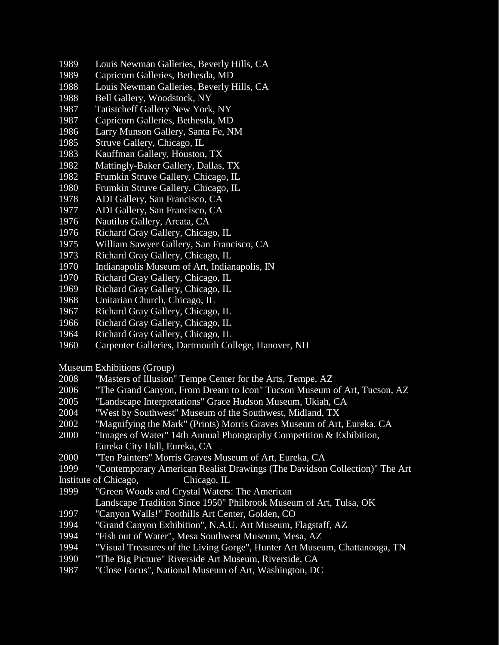- 1989 Louis Newman Galleries, Beverly Hills, CA
- 1989 Capricorn Galleries, Bethesda, MD
- 1988 Louis Newman Galleries, Beverly Hills, CA
- 1988 Bell Gallery, Woodstock, NY
- 1987 Tatistcheff Gallery New York, NY
- 1987 Capricorn Galleries, Bethesda, MD
- 1986 Larry Munson Gallery, Santa Fe, NM
- 1985 Struve Gallery, Chicago, IL
- 1983 Kauffman Gallery, Houston, TX
- 1982 Mattingly-Baker Gallery, Dallas, TX
- 1982 Frumkin Struve Gallery, Chicago, IL
- 1980 Frumkin Struve Gallery, Chicago, IL
- 1978 ADI Gallery, San Francisco, CA
- 1977 ADI Gallery, San Francisco, CA
- 1976 Nautilus Gallery, Arcata, CA
- 1976 Richard Gray Gallery, Chicago, IL
- 1975 William Sawyer Gallery, San Francisco, CA
- 1973 Richard Gray Gallery, Chicago, IL
- 1970 Indianapolis Museum of Art, Indianapolis, IN
- 1970 Richard Gray Gallery, Chicago, IL
- 1969 Richard Gray Gallery, Chicago, IL
- 1968 Unitarian Church, Chicago, IL
- 1967 Richard Gray Gallery, Chicago, IL
- 1966 Richard Gray Gallery, Chicago, IL
- 1964 Richard Gray Gallery, Chicago, IL
- 1960 Carpenter Galleries, Dartmouth College, Hanover, NH
- Museum Exhibitions (Group)
- 2008 "Masters of Illusion" Tempe Center for the Arts, Tempe, AZ
- 2006 "The Grand Canyon, From Dream to Icon" Tucson Museum of Art, Tucson, AZ
- 2005 "Landscape Interpretations" Grace Hudson Museum, Ukiah, CA
- 2004 "West by Southwest" Museum of the Southwest, Midland, TX
- 2002 "Magnifying the Mark" (Prints) Morris Graves Museum of Art, Eureka, CA
- 2000 "Images of Water" 14th Annual Photography Competition & Exhibition, Eureka City Hall, Eureka, CA
- 2000 "Ten Painters" Morris Graves Museum of Art, Eureka, CA
- 1999 "Contemporary American Realist Drawings (The Davidson Collection)" The Art Institute of Chicago, Chicago, IL
- 1999 "Green Woods and Crystal Waters: The American Landscape Tradition Since 1950" Philbrook Museum of Art, Tulsa, OK
- 1997 "Canyon Walls!" Foothills Art Center, Golden, CO
- 1994 "Grand Canyon Exhibition", N.A.U. Art Museum, Flagstaff, AZ
- 1994 "Fish out of Water", Mesa Southwest Museum, Mesa, AZ
- 1994 "Visual Treasures of the Living Gorge", Hunter Art Museum, Chattanooga, TN
- 1990 "The Big Picture" Riverside Art Museum, Riverside, CA
- 1987 "Close Focus", National Museum of Art, Washington, DC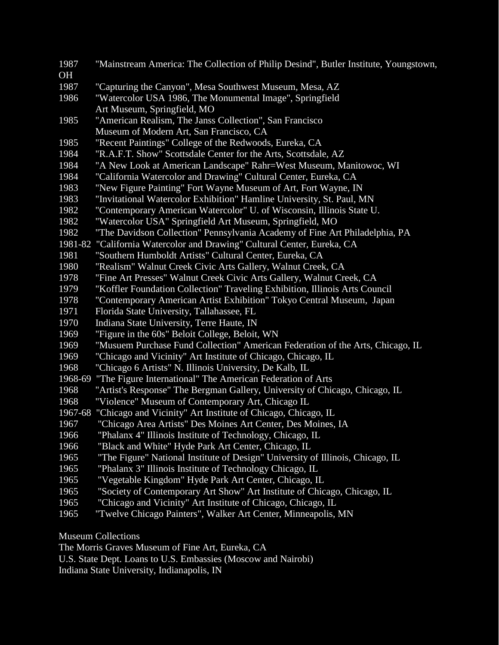1987 "Mainstream America: The Collection of Philip Desind", Butler Institute, Youngstown, OH 1987 "Capturing the Canyon", Mesa Southwest Museum, Mesa, AZ 1986 "Watercolor USA 1986, The Monumental Image", Springfield Art Museum, Springfield, MO 1985 "American Realism, The Janss Collection", San Francisco Museum of Modern Art, San Francisco, CA 1985 "Recent Paintings" College of the Redwoods, Eureka, CA 1984 "R.A.F.T. Show" Scottsdale Center for the Arts, Scottsdale, AZ 1984 "A New Look at American Landscape" Rahr=West Museum, Manitowoc, WI 1984 "California Watercolor and Drawing" Cultural Center, Eureka, CA 1983 "New Figure Painting" Fort Wayne Museum of Art, Fort Wayne, IN 1983 "Invitational Watercolor Exhibition" Hamline University, St. Paul, MN 1982 "Contemporary American Watercolor" U. of Wisconsin, Illinois State U. 1982 "Watercolor USA" Springfield Art Museum, Springfield, MO 1982 "The Davidson Collection" Pennsylvania Academy of Fine Art Philadelphia, PA 1981-82 "California Watercolor and Drawing" Cultural Center, Eureka, CA 1981 "Southern Humboldt Artists" Cultural Center, Eureka, CA 1980 "Realism" Walnut Creek Civic Arts Gallery, Walnut Creek, CA 1978 "Fine Art Presses" Walnut Creek Civic Arts Gallery, Walnut Creek, CA 1979 "Koffler Foundation Collection" Traveling Exhibition, Illinois Arts Council 1978 "Contemporary American Artist Exhibition" Tokyo Central Museum, Japan 1971 Florida State University, Tallahassee, FL 1970 Indiana State University, Terre Haute, IN 1969 "Figure in the 60s" Beloit College, Beloit, WN 1969 "Musuem Purchase Fund Collection" American Federation of the Arts, Chicago, IL 1969 "Chicago and Vicinity" Art Institute of Chicago, Chicago, IL 1968 "Chicago 6 Artists" N. Illinois University, De Kalb, IL 1968-69 "The Figure International" The American Federation of Arts 1968 "Artist's Response" The Bergman Gallery, University of Chicago, Chicago, IL 1968 "Violence" Museum of Contemporary Art, Chicago IL 1967-68 "Chicago and Vicinity" Art Institute of Chicago, Chicago, IL 1967 "Chicago Area Artists" Des Moines Art Center, Des Moines, IA 1966 "Phalanx 4" Illinois Institute of Technology, Chicago, IL 1966 "Black and White" Hyde Park Art Center, Chicago, IL 1965 "The Figure" National Institute of Design" University of Illinois, Chicago, IL 1965 "Phalanx 3" Illinois Institute of Technology Chicago, IL 1965 "Vegetable Kingdom" Hyde Park Art Center, Chicago, IL 1965 "Society of Contemporary Art Show" Art Institute of Chicago, Chicago, IL 1965 "Chicago and Vicinity" Art Institute of Chicago, Chicago, IL 1965 "Twelve Chicago Painters", Walker Art Center, Minneapolis, MN

Museum Collections

The Morris Graves Museum of Fine Art, Eureka, CA

U.S. State Dept. Loans to U.S. Embassies (Moscow and Nairobi)

Indiana State University, Indianapolis, IN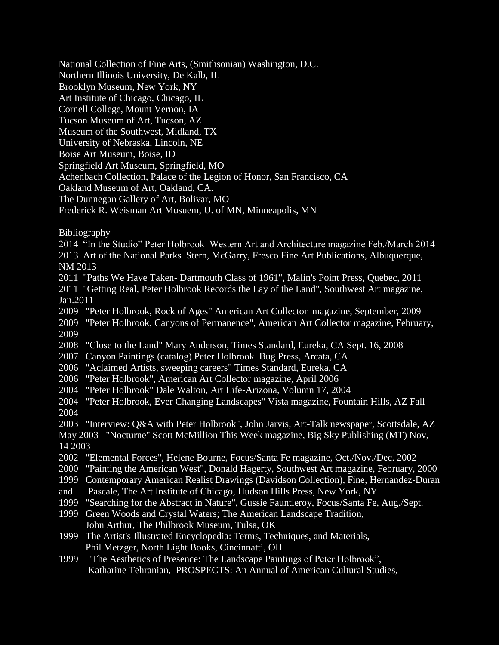National Collection of Fine Arts, (Smithsonian) Washington, D.C.

Northern Illinois University, De Kalb, IL

Brooklyn Museum, New York, NY

Art Institute of Chicago, Chicago, IL

Cornell College, Mount Vernon, IA

Tucson Museum of Art, Tucson, AZ

Museum of the Southwest, Midland, TX

University of Nebraska, Lincoln, NE

Boise Art Museum, Boise, ID

Springfield Art Museum, Springfield, MO

Achenbach Collection, Palace of the Legion of Honor, San Francisco, CA

Oakland Museum of Art, Oakland, CA.

The Dunnegan Gallery of Art, Bolivar, MO

Frederick R. Weisman Art Musuem, U. of MN, Minneapolis, MN

Bibliography

2014 "In the Studio" Peter Holbrook Western Art and Architecture magazine Feb./March 2014 2013 Art of the National Parks Stern, McGarry, Fresco Fine Art Publications, Albuquerque, NM 2013

2011 "Paths We Have Taken- Dartmouth Class of 1961", Malin's Point Press, Quebec, 2011

2011 "Getting Real, Peter Holbrook Records the Lay of the Land", Southwest Art magazine, Jan.2011

2009 "Peter Holbrook, Rock of Ages" American Art Collector magazine, September, 2009 2009 "Peter Holbrook, Canyons of Permanence", American Art Collector magazine, February,

2009

2008 "Close to the Land" Mary Anderson, Times Standard, Eureka, CA Sept. 16, 2008

2007 Canyon Paintings (catalog) Peter Holbrook Bug Press, Arcata, CA

- 2006 "Aclaimed Artists, sweeping careers" Times Standard, Eureka, CA
- 2006 "Peter Holbrook", American Art Collector magazine, April 2006

2004 "Peter Holbrook" Dale Walton, Art Life-Arizona, Volumn 17, 2004

2004 "Peter Holbrook, Ever Changing Landscapes" Vista magazine, Fountain Hills, AZ Fall 2004

2003 "Interview: Q&A with Peter Holbrook", John Jarvis, Art-Talk newspaper, Scottsdale, AZ

May 2003 "Nocturne" Scott McMillion This Week magazine, Big Sky Publishing (MT) Nov, 14 2003

- 2002 "Elemental Forces", Helene Bourne, Focus/Santa Fe magazine, Oct./Nov./Dec. 2002
- 2000 "Painting the American West", Donald Hagerty, Southwest Art magazine, February, 2000

1999 Contemporary American Realist Drawings (Davidson Collection), Fine, Hernandez-Duran

- and Pascale, The Art Institute of Chicago, Hudson Hills Press, New York, NY
- 1999 "Searching for the Abstract in Nature", Gussie Fauntleroy, Focus/Santa Fe, Aug./Sept.
- 1999 Green Woods and Crystal Waters; The American Landscape Tradition, John Arthur, The Philbrook Museum, Tulsa, OK
- 1999 The Artist's Illustrated Encyclopedia: Terms, Techniques, and Materials, Phil Metzger, North Light Books, Cincinnatti, OH

1999 "The Aesthetics of Presence: The Landscape Paintings of Peter Holbrook", Katharine Tehranian, PROSPECTS: An Annual of American Cultural Studies,